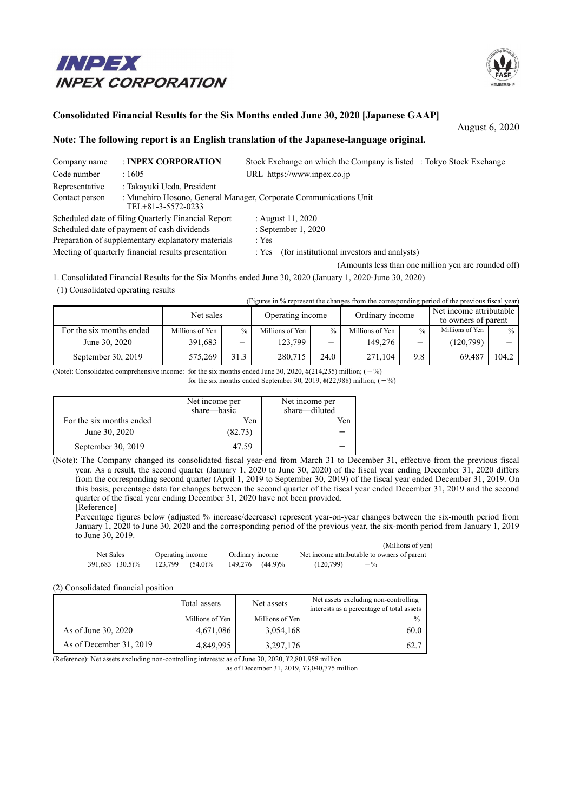# INPEX **INPEX CORPORATION**



# **Consolidated Financial Results for the Six Months ended June 30, 2020 [Japanese GAAP]**

August 6, 2020

### **Note: The following report is an English translation of the Japanese-language original.**

| Company name   | : INPEX CORPORATION                                 | Stock Exchange on which the Company is listed : Tokyo Stock Exchange |
|----------------|-----------------------------------------------------|----------------------------------------------------------------------|
| Code number    | :1605                                               | URL https://www.inpex.co.jp                                          |
| Representative | : Takayuki Ueda, President                          |                                                                      |
| Contact person | TEL+81-3-5572-0233                                  | : Munehiro Hosono, General Manager, Corporate Communications Unit    |
|                | Scheduled date of filing Quarterly Financial Report | : August $11, 2020$                                                  |
|                | Scheduled date of payment of cash dividends         | : September $1, 2020$                                                |
|                | Preparation of supplementary explanatory materials  | : Yes                                                                |
|                | Meeting of quarterly financial results presentation | (for institutional investors and analysts)<br>: Yes                  |
|                |                                                     | (Amounts less than one million yen are rounded off)                  |

1. Consolidated Financial Results for the Six Months ended June 30, 2020 (January 1, 2020-June 30, 2020)

(1) Consolidated operating results

(Figures in % represent the changes from the corresponding period of the previous fiscal year)

|                          | Net sales       |                   | Operating income |               | Ordinary income |               | Net income attributable |       |
|--------------------------|-----------------|-------------------|------------------|---------------|-----------------|---------------|-------------------------|-------|
|                          |                 |                   |                  |               |                 |               | to owners of parent     |       |
| For the six months ended | Millions of Yen | $\frac{0}{0}$     | Millions of Yen  | $\frac{0}{0}$ | Millions of Yen | $\frac{0}{0}$ | Millions of Yen         | $\%$  |
| June 30, 2020            | 391,683         | $\qquad \qquad -$ | 123,799          |               | 149.276         | -             | (120,799)               |       |
| September 30, $2019$     | 575,269         | 31.3              | 280,715          | 24.0          | 271,104         | 9.8           | 69.487                  | 104.2 |

(Note): Consolidated comprehensive income: for the six months ended June 30, 2020,  $\frac{1}{2}$ (214,235) million; (-%)

for the six months ended September 30, 2019,  $\frac{1}{2}(22,988)$  million; (-%)

|                          | Net income per<br>share—basic | Net income per<br>share-diluted |
|--------------------------|-------------------------------|---------------------------------|
| For the six months ended | Yen                           | Yen                             |
| June 30, 2020            | (82.73)                       |                                 |
| September 30, 2019       | 47.59                         |                                 |

(Note): The Company changed its consolidated fiscal year-end from March 31 to December 31, effective from the previous fiscal year. As a result, the second quarter (January 1, 2020 to June 30, 2020) of the fiscal year ending December 31, 2020 differs from the corresponding second quarter (April 1, 2019 to September 30, 2019) of the fiscal year ended December 31, 2019. On this basis, percentage data for changes between the second quarter of the fiscal year ended December 31, 2019 and the second quarter of the fiscal year ending December 31, 2020 have not been provided. [Reference]

Percentage figures below (adjusted % increase/decrease) represent year-on-year changes between the six-month period from January 1, 2020 to June 30, 2020 and the corresponding period of the previous year, the six-month period from January 1, 2019 to June 30, 2019.

|                 |                  |                 | (Millions of yen)                           |
|-----------------|------------------|-----------------|---------------------------------------------|
| Net Sales       | Operating income | Ordinary income | Net income attributable to owners of parent |
| 391,683 (30.5)% | 123.799 (54.0)%  | 149.276 (44.9)% | (120.799)<br>$- \frac{9}{6}$                |

(2) Consolidated financial position

|                         | Total assets    | Net assets      | Net assets excluding non-controlling<br>interests as a percentage of total assets |
|-------------------------|-----------------|-----------------|-----------------------------------------------------------------------------------|
|                         | Millions of Yen | Millions of Yen | $\frac{0}{0}$                                                                     |
| As of June 30, 2020     | 4,671,086       | 3,054,168       | 60.0                                                                              |
| As of December 31, 2019 | 4,849,995       | 3,297,176       | 62.7                                                                              |

(Reference): Net assets excluding non-controlling interests: as of June 30, 2020, ¥2,801,958 million

as of December 31, 2019, ¥3,040,775 million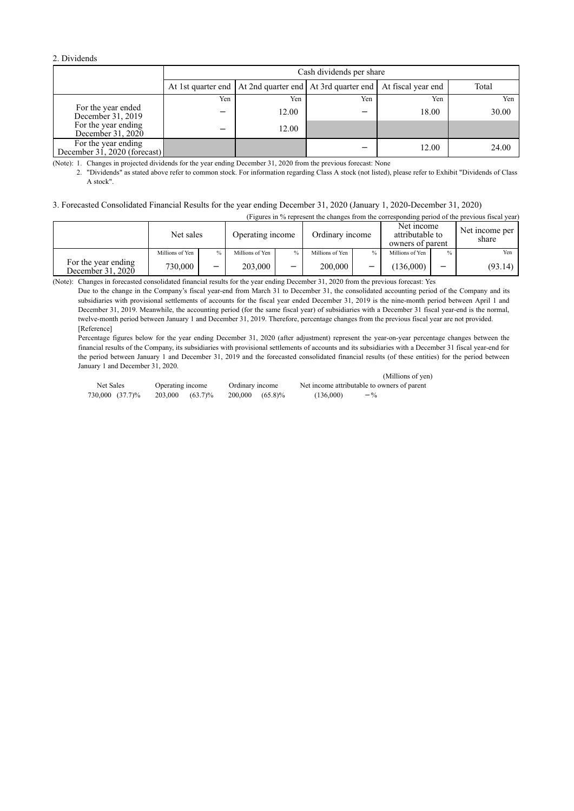#### 2. Dividends

|                                                     |     | Cash dividends per share                                                          |     |       |       |  |  |
|-----------------------------------------------------|-----|-----------------------------------------------------------------------------------|-----|-------|-------|--|--|
|                                                     |     | At 1st quarter end   At 2nd quarter end   At 3rd quarter end   At fiscal year end |     |       | Total |  |  |
|                                                     | Yen | Yen                                                                               | Yen | Yen   | Yen   |  |  |
| For the year ended<br>December 31, 2019             |     | 12.00                                                                             |     | 18.00 | 30.00 |  |  |
| For the year ending<br>December 31, 2020            | -   | 12.00                                                                             |     |       |       |  |  |
| For the year ending<br>December 31, 2020 (forecast) |     |                                                                                   |     | 12.00 | 24.00 |  |  |

(Note): 1. Changes in projected dividends for the year ending December 31, 2020 from the previous forecast: None

2. "Dividends" as stated above refer to common stock. For information regarding Class A stock (not listed), please refer to Exhibit "Dividends of Class A stock".

#### 3. Forecasted Consolidated Financial Results for the year ending December 31, 2020 (January 1, 2020-December 31, 2020)

|                                          | (Figures in % represent the changes from the corresponding period of the previous fiscal year) |               |                  |   |                 |  |                                                   |               |                         |
|------------------------------------------|------------------------------------------------------------------------------------------------|---------------|------------------|---|-----------------|--|---------------------------------------------------|---------------|-------------------------|
|                                          | Net sales                                                                                      |               | Operating income |   | Ordinary income |  | Net income<br>attributable to<br>owners of parent |               | Net income per<br>share |
|                                          | Millions of Yen                                                                                | $\frac{0}{0}$ | Millions of Yen  |   | Millions of Yen |  | Millions of Yen                                   | $\frac{0}{0}$ | Yen                     |
| For the year ending<br>December 31, 2020 | 730,000                                                                                        | -             | 203,000          | - | 200,000         |  | (136,000)                                         |               | (93.14)                 |

(Note): Changes in forecasted consolidated financial results for the year ending December 31, 2020 from the previous forecast: Yes

Due to the change in the Company's fiscal year-end from March 31 to December 31, the consolidated accounting period of the Company and its subsidiaries with provisional settlements of accounts for the fiscal year ended December 31, 2019 is the nine-month period between April 1 and December 31, 2019. Meanwhile, the accounting period (for the same fiscal year) of subsidiaries with a December 31 fiscal year-end is the normal, twelve-month period between January 1 and December 31, 2019. Therefore, percentage changes from the previous fiscal year are not provided. [Reference]

Percentage figures below for the year ending December 31, 2020 (after adjustment) represent the year-on-year percentage changes between the financial results of the Company, its subsidiaries with provisional settlements of accounts and its subsidiaries with a December 31 fiscal year-end for the period between January 1 and December 31, 2019 and the forecasted consolidated financial results (of these entities) for the period between January 1 and December 31, 2020.  $(X_i|1|1)$ 

|                 |                  |                 | (Millions of yen)                           |
|-----------------|------------------|-----------------|---------------------------------------------|
| Net Sales       | Operating income | Ordinary income | Net income attributable to owners of parent |
| 730,000 (37.7)% | 203,000 (63.7)%  | 200,000 (65.8)% | (136,000)<br>$-$ %                          |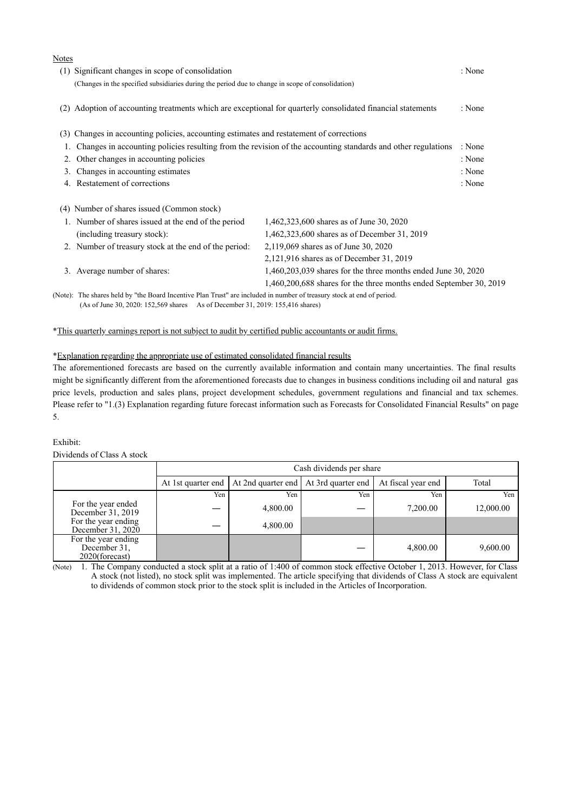| Notes |                                                                                                                        |                                                                                                              |        |
|-------|------------------------------------------------------------------------------------------------------------------------|--------------------------------------------------------------------------------------------------------------|--------|
|       | (1) Significant changes in scope of consolidation                                                                      |                                                                                                              | : None |
|       | (Changes in the specified subsidiaries during the period due to change in scope of consolidation)                      |                                                                                                              |        |
| (2)   | Adoption of accounting treatments which are exceptional for quarterly consolidated financial statements                |                                                                                                              | : None |
| (3)   | Changes in accounting policies, accounting estimates and restatement of corrections                                    |                                                                                                              |        |
|       |                                                                                                                        | Changes in accounting policies resulting from the revision of the accounting standards and other regulations | : None |
| 2.    | Other changes in accounting policies                                                                                   |                                                                                                              | : None |
| 3.    | Changes in accounting estimates                                                                                        |                                                                                                              | : None |
| 4.    | Restatement of corrections                                                                                             |                                                                                                              | : None |
|       | (4) Number of shares issued (Common stock)                                                                             |                                                                                                              |        |
|       | 1. Number of shares issued at the end of the period                                                                    | 1,462,323,600 shares as of June 30, 2020                                                                     |        |
|       | (including treasury stock):                                                                                            | 1,462,323,600 shares as of December 31, 2019                                                                 |        |
|       | 2. Number of treasury stock at the end of the period:                                                                  | 2,119,069 shares as of June 30, 2020                                                                         |        |
|       |                                                                                                                        | 2,121,916 shares as of December 31, 2019                                                                     |        |
|       | 3. Average number of shares:                                                                                           | $1,460,203,039$ shares for the three months ended June 30, 2020                                              |        |
|       |                                                                                                                        | 1,460,200,688 shares for the three months ended September 30, 2019                                           |        |
|       | (Note): The shares held by "the Board Incentive Plan Trust" are included in number of treasury stock at end of period. |                                                                                                              |        |

(As of June 30, 2020: 152,569 shares As of December 31, 2019: 155,416 shares)

#### \*This quarterly earnings report is not subject to audit by certified public accountants or audit firms.

#### \*Explanation regarding the appropriate use of estimated consolidated financial results

The aforementioned forecasts are based on the currently available information and contain many uncertainties. The final results might be significantly different from the aforementioned forecasts due to changes in business conditions including oil and natural gas price levels, production and sales plans, project development schedules, government regulations and financial and tax schemes. Please refer to "1.(3) Explanation regarding future forecast information such as Forecasts for Consolidated Financial Results" on page 5.

#### Exhibit:

Dividends of Class A stock

|                                                       |     | Cash dividends per share                                     |     |                    |           |  |  |
|-------------------------------------------------------|-----|--------------------------------------------------------------|-----|--------------------|-----------|--|--|
|                                                       |     | At 1st quarter end   At 2nd quarter end   At 3rd quarter end |     | At fiscal year end | Total     |  |  |
|                                                       | Yen | Yen                                                          | Yen | Yen                | Yen       |  |  |
| For the year ended<br>December 31, 2019               |     | 4,800.00                                                     |     | 7,200.00           | 12,000.00 |  |  |
| For the year ending<br>December 31, 2020              |     | 4,800.00                                                     |     |                    |           |  |  |
| For the year ending<br>December 31,<br>2020(forecast) |     |                                                              |     | 4,800.00           | 9,600.00  |  |  |

(Note) 1. The Company conducted a stock split at a ratio of 1:400 of common stock effective October 1, 2013. However, for Class A stock (not listed), no stock split was implemented. The article specifying that dividends of Class A stock are equivalent to dividends of common stock prior to the stock split is included in the Articles of Incorporation.

# $\overline{\mathbf{N}}$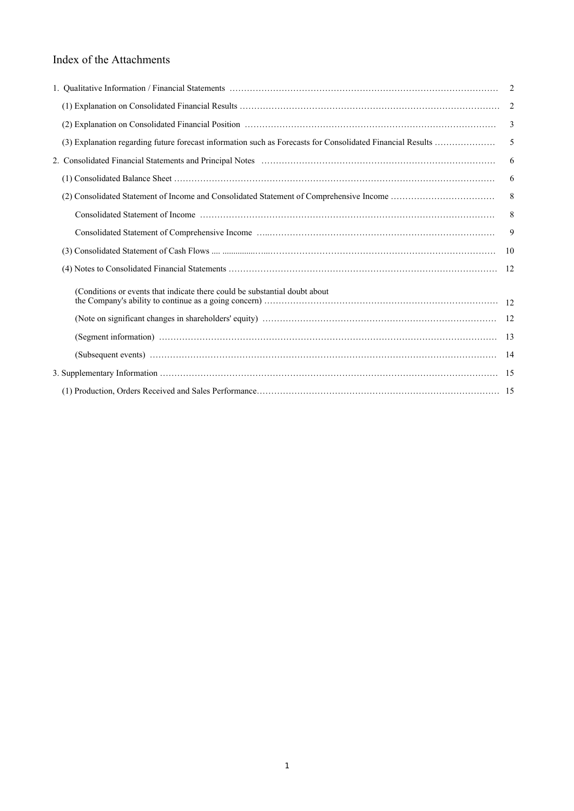# Index of the Attachments

|                                                                                                            | 2   |
|------------------------------------------------------------------------------------------------------------|-----|
|                                                                                                            | 2   |
|                                                                                                            | 3   |
| (3) Explanation regarding future forecast information such as Forecasts for Consolidated Financial Results | 5   |
|                                                                                                            | 6   |
|                                                                                                            | 6   |
|                                                                                                            | 8   |
|                                                                                                            | 8   |
|                                                                                                            | 9   |
|                                                                                                            | -10 |
|                                                                                                            |     |
| (Conditions or events that indicate there could be substantial doubt about                                 |     |
|                                                                                                            |     |
|                                                                                                            |     |
|                                                                                                            |     |
|                                                                                                            |     |
|                                                                                                            |     |
|                                                                                                            |     |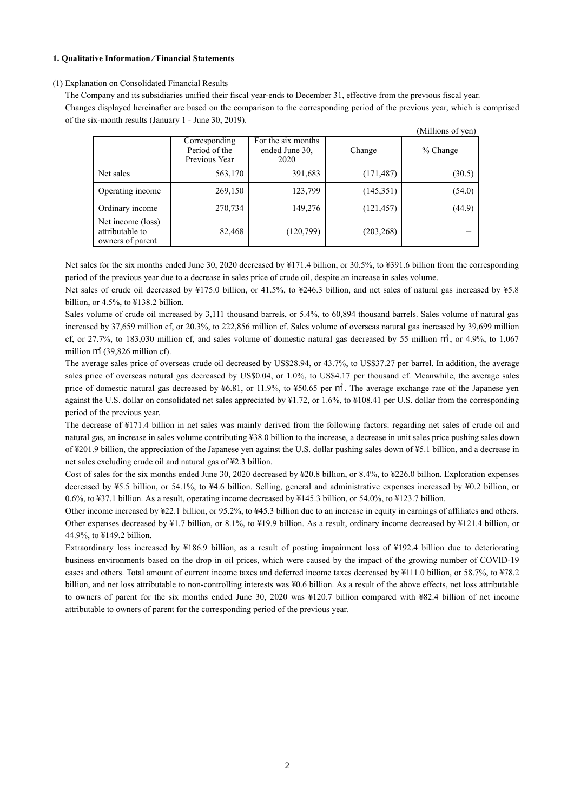#### **1. Qualitative Information ⁄ Financial Statements**

#### (1) Explanation on Consolidated Financial Results

The Company and its subsidiaries unified their fiscal year-ends to December 31, effective from the previous fiscal year. Changes displayed hereinafter are based on the comparison to the corresponding period of the previous year, which is comprised of the six-month results (January 1 - June 30, 2019).

|                                                          |                                                 |                                              |            | (Millions of yen) |
|----------------------------------------------------------|-------------------------------------------------|----------------------------------------------|------------|-------------------|
|                                                          | Corresponding<br>Period of the<br>Previous Year | For the six months<br>ended June 30,<br>2020 | Change     | $%$ Change        |
| Net sales                                                | 563,170                                         | 391,683                                      | (171, 487) | (30.5)            |
| Operating income                                         | 269,150                                         | 123,799                                      | (145,351)  | (54.0)            |
| Ordinary income                                          | 270,734                                         | 149,276                                      | (121, 457) | (44.9)            |
| Net income (loss)<br>attributable to<br>owners of parent | 82,468                                          | (120,799)                                    | (203, 268) |                   |

Net sales for the six months ended June 30, 2020 decreased by ¥171.4 billion, or 30.5%, to ¥391.6 billion from the corresponding period of the previous year due to a decrease in sales price of crude oil, despite an increase in sales volume.

Net sales of crude oil decreased by ¥175.0 billion, or 41.5%, to ¥246.3 billion, and net sales of natural gas increased by ¥5.8 billion, or 4.5%, to ¥138.2 billion.

Sales volume of crude oil increased by 3,111 thousand barrels, or 5.4%, to 60,894 thousand barrels. Sales volume of natural gas increased by 37,659 million cf, or 20.3%, to 222,856 million cf. Sales volume of overseas natural gas increased by 39,699 million cf, or 27.7%, to 183,030 million cf, and sales volume of domestic natural gas decreased by 55 million ㎥, or 4.9%, to 1,067 million m<sup>3</sup> (39,826 million cf).

The average sales price of overseas crude oil decreased by US\$28.94, or 43.7%, to US\$37.27 per barrel. In addition, the average sales price of overseas natural gas decreased by US\$0.04, or 1.0%, to US\$4.17 per thousand cf. Meanwhile, the average sales price of domestic natural gas decreased by ¥6.81, or 11.9%, to ¥50.65 per ㎥. The average exchange rate of the Japanese yen against the U.S. dollar on consolidated net sales appreciated by  $\frac{1}{2}$ . or 1.6%, to  $\frac{1}{2}108.41$  per U.S. dollar from the corresponding period of the previous year.

The decrease of ¥171.4 billion in net sales was mainly derived from the following factors: regarding net sales of crude oil and natural gas, an increase in sales volume contributing ¥38.0 billion to the increase, a decrease in unit sales price pushing sales down of ¥201.9 billion, the appreciation of the Japanese yen against the U.S. dollar pushing sales down of ¥5.1 billion, and a decrease in net sales excluding crude oil and natural gas of ¥2.3 billion.

Cost of sales for the six months ended June 30, 2020 decreased by ¥20.8 billion, or 8.4%, to ¥226.0 billion. Exploration expenses decreased by ¥5.5 billion, or 54.1%, to ¥4.6 billion. Selling, general and administrative expenses increased by ¥0.2 billion, or 0.6%, to ¥37.1 billion. As a result, operating income decreased by ¥145.3 billion, or 54.0%, to ¥123.7 billion.

Other income increased by ¥22.1 billion, or 95.2%, to ¥45.3 billion due to an increase in equity in earnings of affiliates and others. Other expenses decreased by ¥1.7 billion, or 8.1%, to ¥19.9 billion. As a result, ordinary income decreased by ¥121.4 billion, or 44.9%, to ¥149.2 billion.

Extraordinary loss increased by ¥186.9 billion, as a result of posting impairment loss of ¥192.4 billion due to deteriorating business environments based on the drop in oil prices, which were caused by the impact of the growing number of COVID-19 cases and others. Total amount of current income taxes and deferred income taxes decreased by ¥111.0 billion, or 58.7%, to ¥78.2 billion, and net loss attributable to non-controlling interests was ¥0.6 billion. As a result of the above effects, net loss attributable to owners of parent for the six months ended June 30, 2020 was ¥120.7 billion compared with ¥82.4 billion of net income attributable to owners of parent for the corresponding period of the previous year.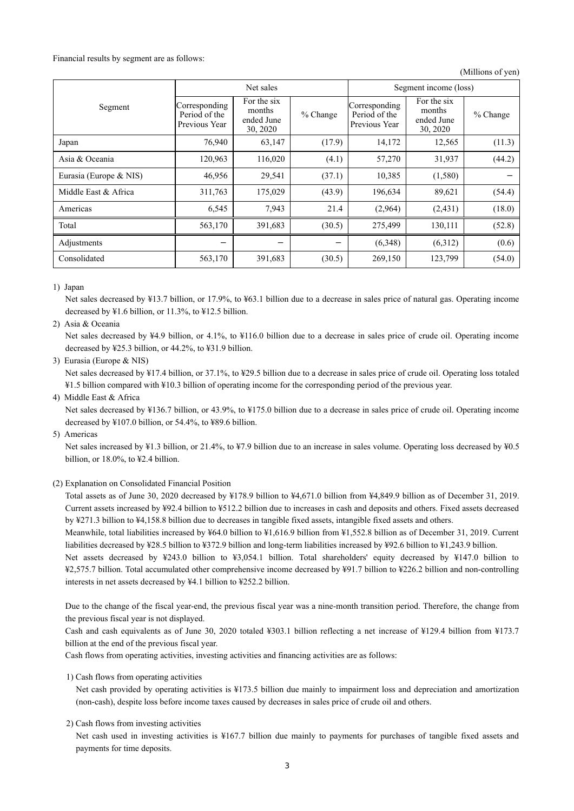Financial results by segment are as follows:

(Millions of yen)

|                        |                                                 | Net sales                                       |            | Segment income (loss)                           |                                                 |          |  |
|------------------------|-------------------------------------------------|-------------------------------------------------|------------|-------------------------------------------------|-------------------------------------------------|----------|--|
| Segment                | Corresponding<br>Period of the<br>Previous Year | For the six<br>months<br>ended June<br>30, 2020 | $%$ Change | Corresponding<br>Period of the<br>Previous Year | For the six<br>months<br>ended June<br>30, 2020 | % Change |  |
| Japan                  | 76,940                                          | 63,147                                          | (17.9)     | 14,172                                          | 12,565                                          | (11.3)   |  |
| Asia & Oceania         | 120,963                                         | 116,020                                         | (4.1)      | 57,270                                          | 31,937                                          | (44.2)   |  |
| Eurasia (Europe & NIS) | 46,956                                          | 29,541                                          | (37.1)     | 10,385                                          | (1,580)                                         |          |  |
| Middle East & Africa   | 311,763                                         | 175,029                                         | (43.9)     | 196,634                                         | 89,621                                          | (54.4)   |  |
| Americas               | 6,545                                           | 7,943                                           | 21.4       | (2,964)                                         | (2,431)                                         | (18.0)   |  |
| Total                  | 563,170                                         | 391,683                                         | (30.5)     | 275,499                                         | 130,111                                         | (52.8)   |  |
| Adjustments            |                                                 |                                                 |            | (6,348)                                         | (6,312)                                         | (0.6)    |  |
| Consolidated           | 563,170                                         | 391,683                                         | (30.5)     | 269,150                                         | 123,799                                         | (54.0)   |  |

1) Japan

Net sales decreased by ¥13.7 billion, or 17.9%, to ¥63.1 billion due to a decrease in sales price of natural gas. Operating income decreased by ¥1.6 billion, or 11.3%, to ¥12.5 billion.

2) Asia & Oceania

Net sales decreased by ¥4.9 billion, or 4.1%, to ¥116.0 billion due to a decrease in sales price of crude oil. Operating income decreased by ¥25.3 billion, or 44.2%, to ¥31.9 billion.

3) Eurasia (Europe & NIS)

Net sales decreased by ¥17.4 billion, or 37.1%, to ¥29.5 billion due to a decrease in sales price of crude oil. Operating loss totaled ¥1.5 billion compared with ¥10.3 billion of operating income for the corresponding period of the previous year.

4) Middle East & Africa

Net sales decreased by ¥136.7 billion, or 43.9%, to ¥175.0 billion due to a decrease in sales price of crude oil. Operating income decreased by ¥107.0 billion, or 54.4%, to ¥89.6 billion.

5) Americas

Net sales increased by ¥1.3 billion, or 21.4%, to ¥7.9 billion due to an increase in sales volume. Operating loss decreased by ¥0.5 billion, or 18.0%, to ¥2.4 billion.

(2) Explanation on Consolidated Financial Position

Total assets as of June 30, 2020 decreased by ¥178.9 billion to ¥4,671.0 billion from ¥4,849.9 billion as of December 31, 2019. Current assets increased by ¥92.4 billion to ¥512.2 billion due to increases in cash and deposits and others. Fixed assets decreased by ¥271.3 billion to ¥4,158.8 billion due to decreases in tangible fixed assets, intangible fixed assets and others.

Meanwhile, total liabilities increased by ¥64.0 billion to ¥1,616.9 billion from ¥1,552.8 billion as of December 31, 2019. Current liabilities decreased by ¥28.5 billion to ¥372.9 billion and long-term liabilities increased by ¥92.6 billion to ¥1,243.9 billion.

Net assets decreased by ¥243.0 billion to ¥3,054.1 billion. Total shareholders' equity decreased by ¥147.0 billion to ¥2,575.7 billion. Total accumulated other comprehensive income decreased by ¥91.7 billion to ¥226.2 billion and non-controlling interests in net assets decreased by ¥4.1 billion to ¥252.2 billion.

Due to the change of the fiscal year-end, the previous fiscal year was a nine-month transition period. Therefore, the change from the previous fiscal year is not displayed.

Cash and cash equivalents as of June 30, 2020 totaled ¥303.1 billion reflecting a net increase of ¥129.4 billion from ¥173.7 billion at the end of the previous fiscal year.

Cash flows from operating activities, investing activities and financing activities are as follows:

1) Cash flows from operating activities

Net cash provided by operating activities is ¥173.5 billion due mainly to impairment loss and depreciation and amortization (non-cash), despite loss before income taxes caused by decreases in sales price of crude oil and others.

2) Cash flows from investing activities

Net cash used in investing activities is ¥167.7 billion due mainly to payments for purchases of tangible fixed assets and payments for time deposits.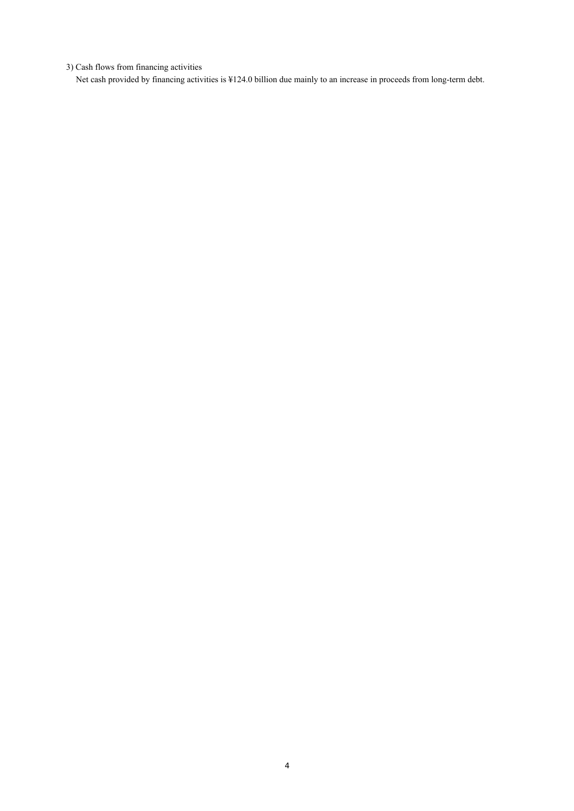3) Cash flows from financing activities

Net cash provided by financing activities is ¥124.0 billion due mainly to an increase in proceeds from long-term debt.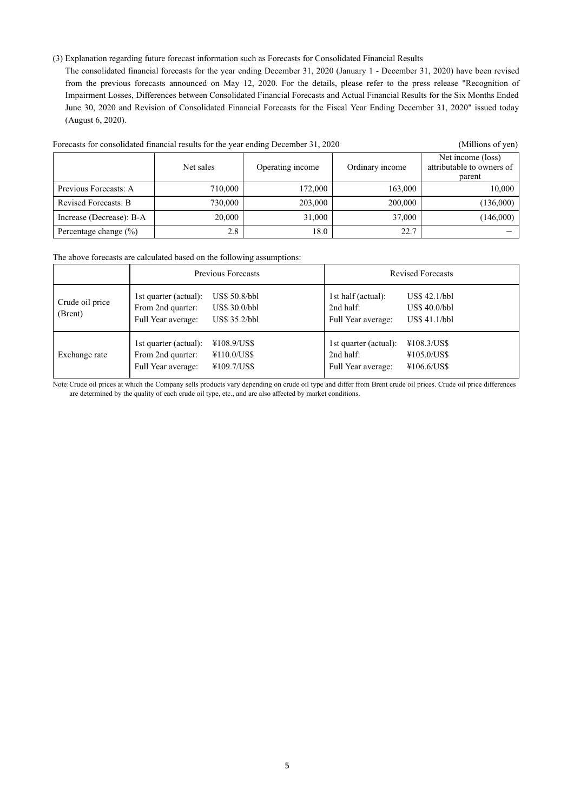#### (3) Explanation regarding future forecast information such as Forecasts for Consolidated Financial Results

The consolidated financial forecasts for the year ending December 31, 2020 (January 1 - December 31, 2020) have been revised from the previous forecasts announced on May 12, 2020. For the details, please refer to the press release "Recognition of Impairment Losses, Differences between Consolidated Financial Forecasts and Actual Financial Results for the Six Months Ended June 30, 2020 and Revision of Consolidated Financial Forecasts for the Fiscal Year Ending December 31, 2020" issued today (August 6, 2020).

| Forecasts for consolidated financial results for the year ending December 31, 2020 | (Millions of yen) |                  |                 |                                                          |
|------------------------------------------------------------------------------------|-------------------|------------------|-----------------|----------------------------------------------------------|
|                                                                                    | Net sales         | Operating income | Ordinary income | Net income (loss)<br>attributable to owners of<br>parent |
| Previous Forecasts: A                                                              | 710,000           | 172,000          | 163,000         | 10,000                                                   |
| Revised Forecasts: B                                                               | 730,000           | 203,000          | 200,000         | (136,000)                                                |
| Increase (Decrease): B-A                                                           | 20,000            | 31,000           | 37,000          | (146,000)                                                |
| Percentage change $(\% )$                                                          | 2.8               | 18.0             | 22.7            |                                                          |

The above forecasts are calculated based on the following assumptions:

|                            |                                                                  | Previous Forecasts                              | <b>Revised Forecasts</b>                                 |                                                   |  |
|----------------------------|------------------------------------------------------------------|-------------------------------------------------|----------------------------------------------------------|---------------------------------------------------|--|
| Crude oil price<br>(Brent) | 1st quarter (actual):<br>From 2nd quarter:<br>Full Year average: | US\$ 50.8/bbl<br>US\$ 30.0/bbl<br>US\$ 35.2/bbl | 1st half (actual):<br>2nd half:<br>Full Year average:    | $US\$ 42.1/bbl<br>US\$ 40.0/bbl<br>$US\$ 41.1/bbl |  |
| Exchange rate              | 1st quarter (actual):<br>From 2nd quarter:<br>Full Year average: | ¥108.9/US\$<br>¥110.0/US\$<br>¥109.7/US\$       | 1st quarter (actual):<br>2nd half:<br>Full Year average: | ¥108.3/US\$<br>¥105.0/US\$<br>¥106.6/US\$         |  |

Note:Crude oil prices at which the Company sells products vary depending on crude oil type and differ from Brent crude oil prices. Crude oil price differences are determined by the quality of each crude oil type, etc., and are also affected by market conditions.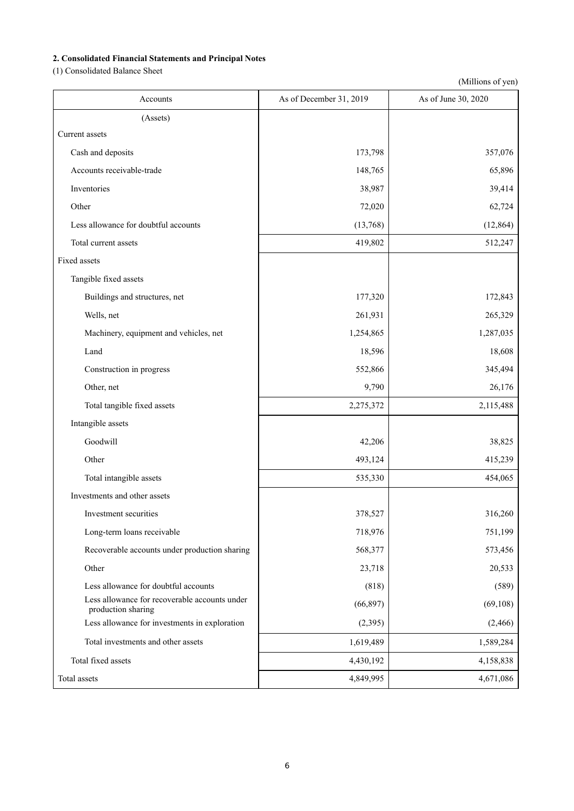# **2. Consolidated Financial Statements and Principal Notes**

(1) Consolidated Balance Sheet

| Accounts                                                            | As of December 31, 2019 | As of June 30, 2020 |
|---------------------------------------------------------------------|-------------------------|---------------------|
| (Assets)                                                            |                         |                     |
| Current assets                                                      |                         |                     |
| Cash and deposits                                                   | 173,798                 | 357,076             |
| Accounts receivable-trade                                           | 148,765                 | 65,896              |
| Inventories                                                         | 38,987                  | 39,414              |
| Other                                                               | 72,020                  | 62,724              |
| Less allowance for doubtful accounts                                | (13,768)                | (12, 864)           |
| Total current assets                                                | 419,802                 | 512,247             |
| Fixed assets                                                        |                         |                     |
| Tangible fixed assets                                               |                         |                     |
| Buildings and structures, net                                       | 177,320                 | 172,843             |
| Wells, net                                                          | 261,931                 | 265,329             |
| Machinery, equipment and vehicles, net                              | 1,254,865               | 1,287,035           |
| Land                                                                | 18,596                  | 18,608              |
| Construction in progress                                            | 552,866                 | 345,494             |
| Other, net                                                          | 9,790                   | 26,176              |
| Total tangible fixed assets                                         | 2,275,372               | 2,115,488           |
| Intangible assets                                                   |                         |                     |
| Goodwill                                                            | 42,206                  | 38,825              |
| Other                                                               | 493,124                 | 415,239             |
| Total intangible assets                                             | 535,330                 | 454,065             |
| Investments and other assets                                        |                         |                     |
| Investment securities                                               | 378,527                 | 316,260             |
| Long-term loans receivable                                          | 718,976                 | 751,199             |
| Recoverable accounts under production sharing                       | 568,377                 | 573,456             |
| Other                                                               | 23,718                  | 20,533              |
| Less allowance for doubtful accounts                                | (818)                   | (589)               |
| Less allowance for recoverable accounts under<br>production sharing | (66, 897)               | (69, 108)           |
| Less allowance for investments in exploration                       | (2,395)                 | (2, 466)            |
| Total investments and other assets                                  | 1,619,489               | 1,589,284           |
| Total fixed assets                                                  | 4,430,192               | 4,158,838           |
| Total assets                                                        | 4,849,995               | 4,671,086           |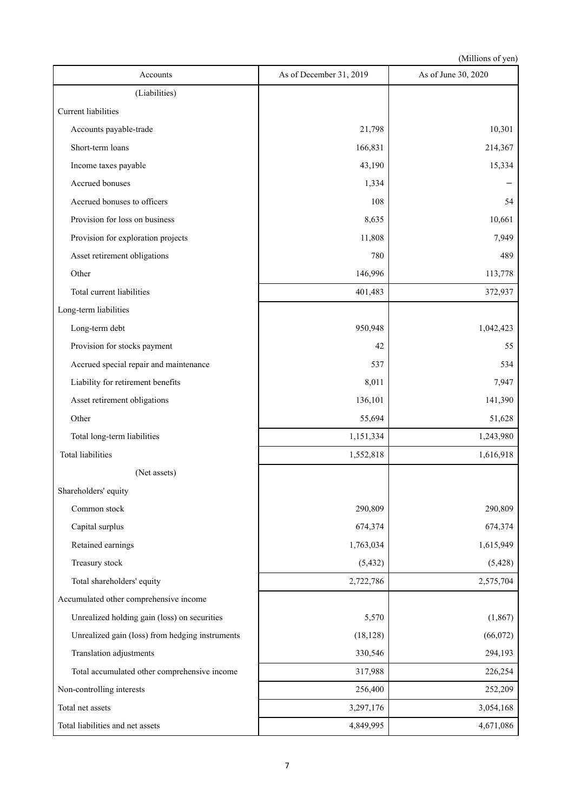| Accounts                                        | As of December 31, 2019 | As of June 30, 2020 |
|-------------------------------------------------|-------------------------|---------------------|
| (Liabilities)                                   |                         |                     |
| <b>Current liabilities</b>                      |                         |                     |
| Accounts payable-trade                          | 21,798                  | 10,301              |
| Short-term loans                                | 166,831                 | 214,367             |
| Income taxes payable                            | 43,190                  | 15,334              |
| Accrued bonuses                                 | 1,334                   |                     |
| Accrued bonuses to officers                     | 108                     | 54                  |
| Provision for loss on business                  | 8,635                   | 10,661              |
| Provision for exploration projects              | 11,808                  | 7,949               |
| Asset retirement obligations                    | 780                     | 489                 |
| Other                                           | 146,996                 | 113,778             |
| Total current liabilities                       | 401,483                 | 372,937             |
| Long-term liabilities                           |                         |                     |
| Long-term debt                                  | 950,948                 | 1,042,423           |
| Provision for stocks payment                    | 42                      | 55                  |
| Accrued special repair and maintenance          | 537                     | 534                 |
| Liability for retirement benefits               | 8,011                   | 7,947               |
| Asset retirement obligations                    | 136,101                 | 141,390             |
| Other                                           | 55,694                  | 51,628              |
| Total long-term liabilities                     | 1,151,334               | 1,243,980           |
| <b>Total liabilities</b>                        | 1,552,818               | 1,616,918           |
| (Net assets)                                    |                         |                     |
| Shareholders' equity                            |                         |                     |
| Common stock                                    | 290,809                 | 290,809             |
| Capital surplus                                 | 674,374                 | 674,374             |
| Retained earnings                               | 1,763,034               | 1,615,949           |
| Treasury stock                                  | (5, 432)                | (5, 428)            |
| Total shareholders' equity                      | 2,722,786               | 2,575,704           |
| Accumulated other comprehensive income          |                         |                     |
| Unrealized holding gain (loss) on securities    | 5,570                   | (1, 867)            |
| Unrealized gain (loss) from hedging instruments | (18, 128)               | (66,072)            |
| Translation adjustments                         | 330,546                 | 294,193             |
| Total accumulated other comprehensive income    | 317,988                 | 226,254             |
| Non-controlling interests                       | 256,400                 | 252,209             |
| Total net assets                                | 3,297,176               | 3,054,168           |
| Total liabilities and net assets                | 4,849,995               | 4,671,086           |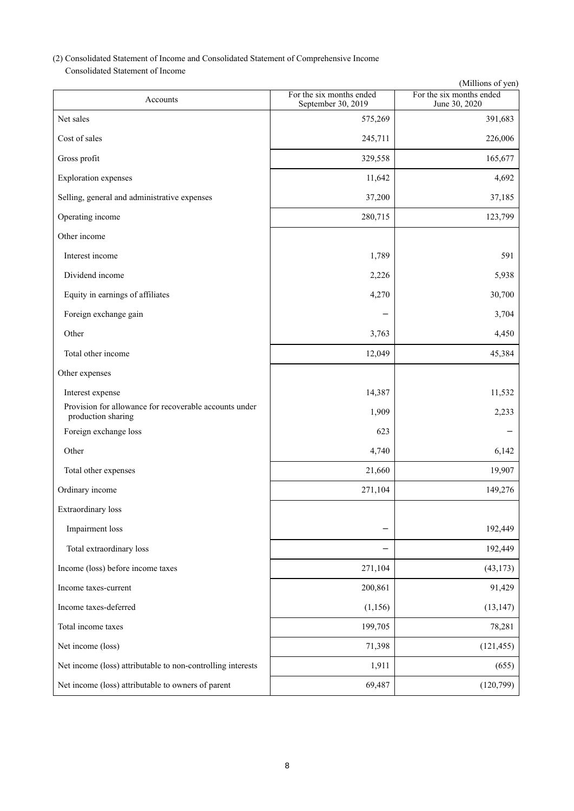# (2) Consolidated Statement of Income and Consolidated Statement of Comprehensive Income

Consolidated Statement of Income

|                                                                              |                                                | (Millions of yen)                         |
|------------------------------------------------------------------------------|------------------------------------------------|-------------------------------------------|
| Accounts                                                                     | For the six months ended<br>September 30, 2019 | For the six months ended<br>June 30, 2020 |
| Net sales                                                                    | 575,269                                        | 391,683                                   |
| Cost of sales                                                                | 245,711                                        | 226,006                                   |
| Gross profit                                                                 | 329,558                                        | 165,677                                   |
| <b>Exploration</b> expenses                                                  | 11,642                                         | 4,692                                     |
| Selling, general and administrative expenses                                 | 37,200                                         | 37,185                                    |
| Operating income                                                             | 280,715                                        | 123,799                                   |
| Other income                                                                 |                                                |                                           |
| Interest income                                                              | 1,789                                          | 591                                       |
| Dividend income                                                              | 2,226                                          | 5,938                                     |
| Equity in earnings of affiliates                                             | 4,270                                          | 30,700                                    |
| Foreign exchange gain                                                        |                                                | 3,704                                     |
| Other                                                                        | 3,763                                          | 4,450                                     |
| Total other income                                                           | 12,049                                         | 45,384                                    |
| Other expenses                                                               |                                                |                                           |
| Interest expense                                                             | 14,387                                         | 11,532                                    |
| Provision for allowance for recoverable accounts under<br>production sharing | 1,909                                          | 2,233                                     |
| Foreign exchange loss                                                        | 623                                            |                                           |
| Other                                                                        | 4,740                                          | 6,142                                     |
| Total other expenses                                                         | 21,660                                         | 19,907                                    |
| Ordinary income                                                              | 271,104                                        | 149,276                                   |
| Extraordinary loss                                                           |                                                |                                           |
| Impairment loss                                                              |                                                | 192,449                                   |
| Total extraordinary loss                                                     |                                                | 192,449                                   |
| Income (loss) before income taxes                                            | 271,104                                        | (43, 173)                                 |
| Income taxes-current                                                         | 200,861                                        | 91,429                                    |
| Income taxes-deferred                                                        | (1, 156)                                       | (13, 147)                                 |
| Total income taxes                                                           | 199,705                                        | 78,281                                    |
| Net income (loss)                                                            | 71,398                                         | (121, 455)                                |
| Net income (loss) attributable to non-controlling interests                  | 1,911                                          | (655)                                     |
| Net income (loss) attributable to owners of parent                           | 69,487                                         | (120, 799)                                |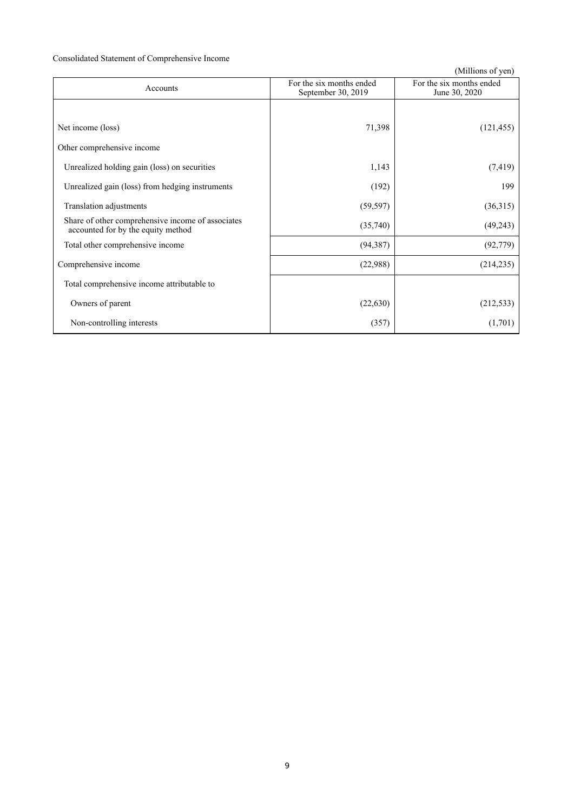# Consolidated Statement of Comprehensive Income

| Accounts                                                                                | For the six months ended<br>September 30, 2019 | For the six months ended<br>June 30, 2020 |
|-----------------------------------------------------------------------------------------|------------------------------------------------|-------------------------------------------|
|                                                                                         |                                                |                                           |
| Net income (loss)                                                                       | 71,398                                         | (121, 455)                                |
| Other comprehensive income                                                              |                                                |                                           |
| Unrealized holding gain (loss) on securities                                            | 1,143                                          | (7, 419)                                  |
| Unrealized gain (loss) from hedging instruments                                         | (192)                                          | 199                                       |
| Translation adjustments                                                                 | (59, 597)                                      | (36,315)                                  |
| Share of other comprehensive income of associates<br>accounted for by the equity method | (35,740)                                       | (49,243)                                  |
| Total other comprehensive income                                                        | (94, 387)                                      | (92, 779)                                 |
| Comprehensive income                                                                    | (22,988)                                       | (214, 235)                                |
| Total comprehensive income attributable to                                              |                                                |                                           |
| Owners of parent                                                                        | (22, 630)                                      | (212, 533)                                |
| Non-controlling interests                                                               | (357)                                          | (1,701)                                   |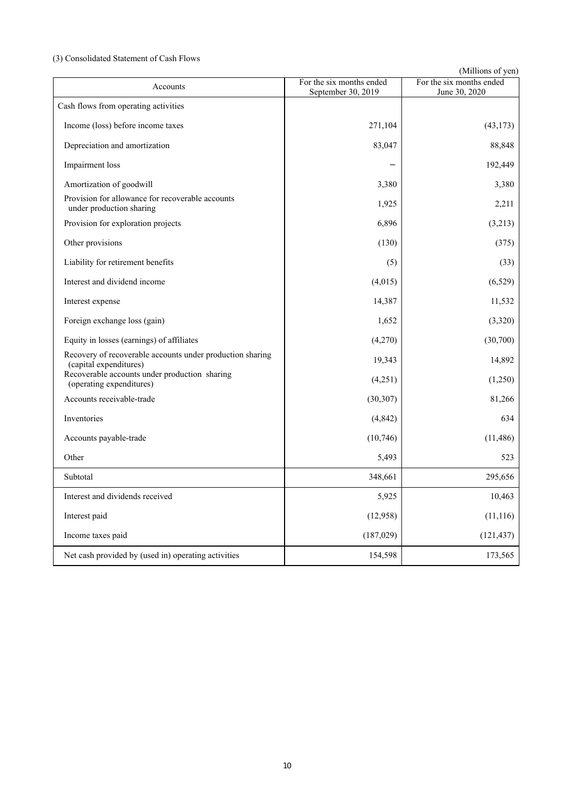# (3) Consolidated Statement of Cash Flows

| Accounts                                                                            | For the six months ended<br>September 30, 2019 | For the six months ended<br>June 30, 2020 |
|-------------------------------------------------------------------------------------|------------------------------------------------|-------------------------------------------|
| Cash flows from operating activities                                                |                                                |                                           |
| Income (loss) before income taxes                                                   | 271,104                                        | (43, 173)                                 |
| Depreciation and amortization                                                       | 83,047                                         | 88,848                                    |
| Impairment loss                                                                     |                                                | 192,449                                   |
| Amortization of goodwill                                                            | 3,380                                          | 3,380                                     |
| Provision for allowance for recoverable accounts<br>under production sharing        | 1,925                                          | 2,211                                     |
| Provision for exploration projects                                                  | 6,896                                          | (3,213)                                   |
| Other provisions                                                                    | (130)                                          | (375)                                     |
| Liability for retirement benefits                                                   | (5)                                            | (33)                                      |
| Interest and dividend income                                                        | (4,015)                                        | (6,529)                                   |
| Interest expense                                                                    | 14,387                                         | 11,532                                    |
| Foreign exchange loss (gain)                                                        | 1,652                                          | (3,320)                                   |
| Equity in losses (earnings) of affiliates                                           | (4,270)                                        | (30,700)                                  |
| Recovery of recoverable accounts under production sharing<br>(capital expenditures) | 19,343                                         | 14,892                                    |
| Recoverable accounts under production sharing<br>(operating expenditures)           | (4,251)                                        | (1,250)                                   |
| Accounts receivable-trade                                                           | (30, 307)                                      | 81,266                                    |
| Inventories                                                                         | (4, 842)                                       | 634                                       |
| Accounts payable-trade                                                              | (10, 746)                                      | (11, 486)                                 |
| Other                                                                               | 5,493                                          | 523                                       |
| Subtotal                                                                            | 348,661                                        | 295,656                                   |
| Interest and dividends received                                                     | 5,925                                          | 10,463                                    |
| Interest paid                                                                       | (12,958)                                       | (11, 116)                                 |
| Income taxes paid                                                                   | (187, 029)                                     | (121, 437)                                |
| Net cash provided by (used in) operating activities                                 | 154,598                                        | 173,565                                   |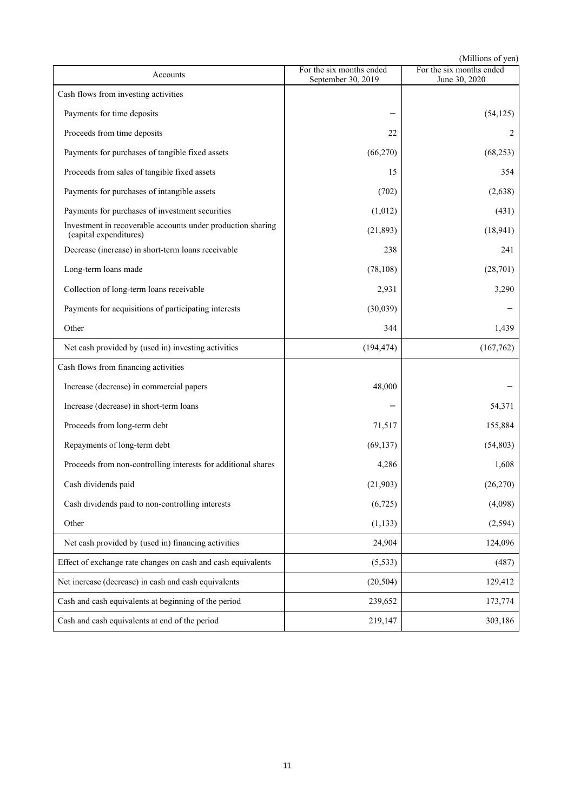|                                                                                       |                                                | (Millions of yen)                         |
|---------------------------------------------------------------------------------------|------------------------------------------------|-------------------------------------------|
| Accounts                                                                              | For the six months ended<br>September 30, 2019 | For the six months ended<br>June 30, 2020 |
| Cash flows from investing activities                                                  |                                                |                                           |
| Payments for time deposits                                                            |                                                | (54, 125)                                 |
| Proceeds from time deposits                                                           | 22                                             | 2                                         |
| Payments for purchases of tangible fixed assets                                       | (66,270)                                       | (68, 253)                                 |
| Proceeds from sales of tangible fixed assets                                          | 15                                             | 354                                       |
| Payments for purchases of intangible assets                                           | (702)                                          | (2,638)                                   |
| Payments for purchases of investment securities                                       | (1,012)                                        | (431)                                     |
| Investment in recoverable accounts under production sharing<br>(capital expenditures) | (21, 893)                                      | (18, 941)                                 |
| Decrease (increase) in short-term loans receivable                                    | 238                                            | 241                                       |
| Long-term loans made                                                                  | (78, 108)                                      | (28,701)                                  |
| Collection of long-term loans receivable                                              | 2,931                                          | 3,290                                     |
| Payments for acquisitions of participating interests                                  | (30,039)                                       |                                           |
| Other                                                                                 | 344                                            | 1,439                                     |
| Net cash provided by (used in) investing activities                                   | (194, 474)                                     | (167, 762)                                |
| Cash flows from financing activities                                                  |                                                |                                           |
| Increase (decrease) in commercial papers                                              | 48,000                                         |                                           |
| Increase (decrease) in short-term loans                                               |                                                | 54,371                                    |
| Proceeds from long-term debt                                                          | 71,517                                         | 155,884                                   |
| Repayments of long-term debt                                                          | (69, 137)                                      | (54, 803)                                 |
| Proceeds from non-controlling interests for additional shares                         | 4,286                                          | 1,608                                     |
| Cash dividends paid                                                                   | (21,903)                                       | (26, 270)                                 |
| Cash dividends paid to non-controlling interests                                      | (6,725)                                        | (4,098)                                   |
| Other                                                                                 | (1, 133)                                       | (2,594)                                   |
| Net cash provided by (used in) financing activities                                   | 24,904                                         | 124,096                                   |
| Effect of exchange rate changes on cash and cash equivalents                          | (5, 533)                                       | (487)                                     |
| Net increase (decrease) in cash and cash equivalents                                  | (20, 504)                                      | 129,412                                   |
| Cash and cash equivalents at beginning of the period                                  | 239,652                                        | 173,774                                   |
| Cash and cash equivalents at end of the period                                        | 219,147                                        | 303,186                                   |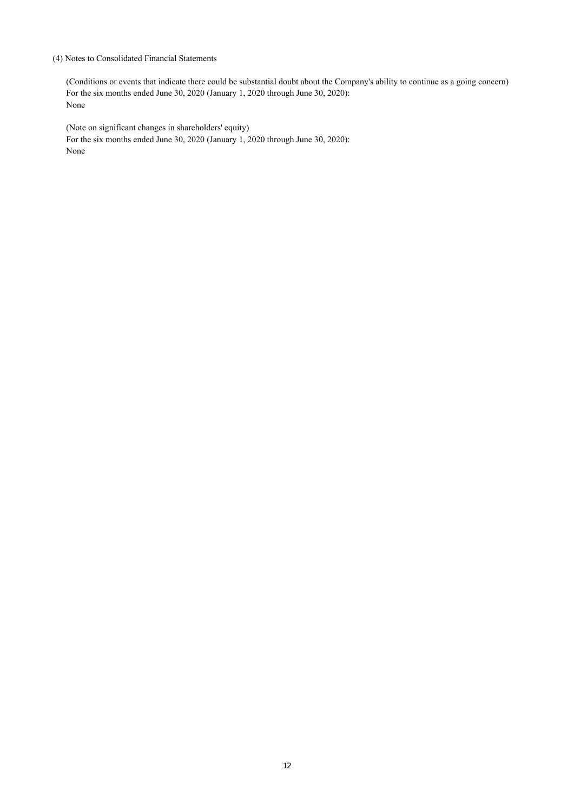### (4) Notes to Consolidated Financial Statements

(Conditions or events that indicate there could be substantial doubt about the Company's ability to continue as a going concern) For the six months ended June 30, 2020 (January 1, 2020 through June 30, 2020): None

(Note on significant changes in shareholders' equity) For the six months ended June 30, 2020 (January 1, 2020 through June 30, 2020): None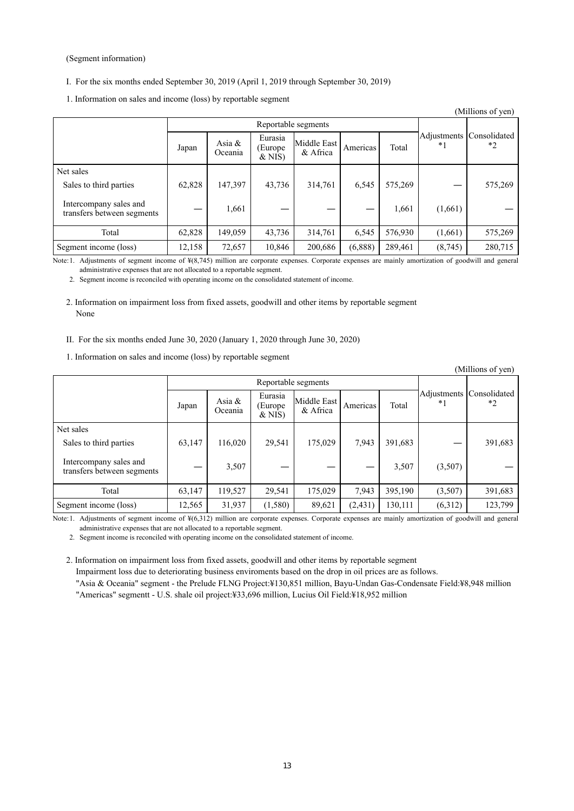#### (Segment information)

- I. For the six months ended September 30, 2019 (April 1, 2019 through September 30, 2019)
- 1. Information on sales and income (loss) by reportable segment

|                                                      |        |                     |                                 |                         |          |         |         | (Millions of yen)                   |
|------------------------------------------------------|--------|---------------------|---------------------------------|-------------------------|----------|---------|---------|-------------------------------------|
|                                                      |        |                     | Reportable segments             |                         |          |         |         |                                     |
|                                                      | Japan  | Asia $&$<br>Oceania | Eurasia<br>(Europe)<br>$&$ NIS) | Middle East<br>& Africa | Americas | Total   | $*1$    | Adjustments Consolidated<br>$*_{2}$ |
| Net sales                                            |        |                     |                                 |                         |          |         |         |                                     |
| Sales to third parties                               | 62,828 | 147,397             | 43,736                          | 314,761                 | 6,545    | 575,269 |         | 575,269                             |
| Intercompany sales and<br>transfers between segments |        | 1,661               |                                 |                         |          | 1,661   | (1,661) |                                     |
| Total                                                | 62,828 | 149,059             | 43,736                          | 314,761                 | 6,545    | 576,930 | (1,661) | 575,269                             |
| Segment income (loss)                                | 12,158 | 72,657              | 10,846                          | 200,686                 | (6,888)  | 289,461 | (8,745) | 280,715                             |

Note:1. Adjustments of segment income of ¥(8,745) million are corporate expenses. Corporate expenses are mainly amortization of goodwill and general administrative expenses that are not allocated to a reportable segment.

2. Segment income is reconciled with operating income on the consolidated statement of income.

2. Information on impairment loss from fixed assets, goodwill and other items by reportable segment None

- II. For the six months ended June 30, 2020 (January 1, 2020 through June 30, 2020)
- 1. Information on sales and income (loss) by reportable segment

| (Millions of yen)                                    |        |                      |                                 |                         |          |         |         |                                  |
|------------------------------------------------------|--------|----------------------|---------------------------------|-------------------------|----------|---------|---------|----------------------------------|
|                                                      |        |                      |                                 | Reportable segments     |          |         |         |                                  |
|                                                      | Japan  | Asia $\&$<br>Oceania | Eurasia<br>(Europe)<br>$&$ NIS) | Middle East<br>& Africa | Americas | Total   | $*1$    | Adjustments Consolidated<br>$*2$ |
| Net sales                                            |        |                      |                                 |                         |          |         |         |                                  |
| Sales to third parties                               | 63,147 | 116,020              | 29,541                          | 175,029                 | 7,943    | 391,683 |         | 391,683                          |
| Intercompany sales and<br>transfers between segments |        | 3,507                |                                 |                         |          | 3,507   | (3,507) |                                  |
| Total                                                | 63,147 | 119,527              | 29,541                          | 175,029                 | 7,943    | 395,190 | (3,507) | 391,683                          |
| Segment income (loss)                                | 12,565 | 31,937               | (1,580)                         | 89,621                  | (2, 431) | 130,111 | (6,312) | 123,799                          |

Note:1. Adjustments of segment income of ¥(6,312) million are corporate expenses. Corporate expenses are mainly amortization of goodwill and general administrative expenses that are not allocated to a reportable segment.

2. Segment income is reconciled with operating income on the consolidated statement of income.

2. Information on impairment loss from fixed assets, goodwill and other items by reportable segment

Impairment loss due to deteriorating business enviroments based on the drop in oil prices are as follows.

"Asia & Oceania" segment - the Prelude FLNG Project:¥130,851 million, Bayu-Undan Gas-Condensate Field:¥8,948 million "Americas" segmentt - U.S. shale oil project:¥33,696 million, Lucius Oil Field:¥18,952 million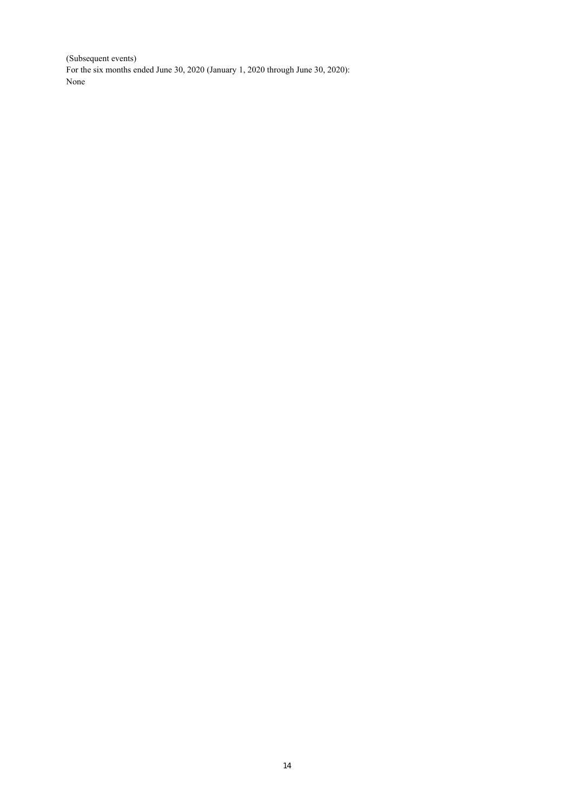(Subsequent events) For the six months ended June 30, 2020 (January 1, 2020 through June 30, 2020): None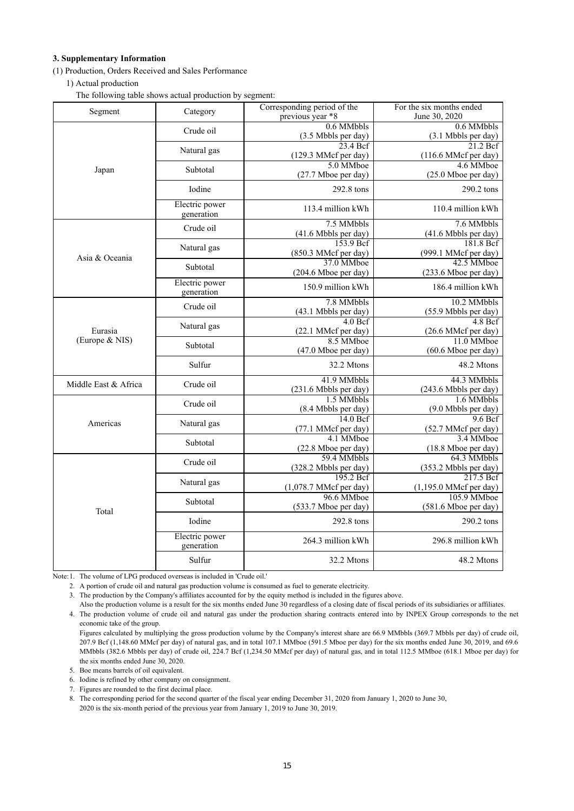#### **3. Supplementary Information**

(1) Production, Orders Received and Sales Performance

1) Actual production

The following table shows actual production by segment:

| Segment                   | Category       | Corresponding period of the       | For the six months ended          |  |
|---------------------------|----------------|-----------------------------------|-----------------------------------|--|
|                           |                | previous year *8                  | June 30, 2020                     |  |
|                           | Crude oil      | 0.6 MMbbls                        | 0.6 MMbbls                        |  |
|                           |                | (3.5 Mbbls per day)               | (3.1 Mbbls per day)               |  |
|                           | Natural gas    | 23.4 Bcf                          | $\overline{21}.2$ Bcf             |  |
|                           |                | (129.3 MMcf per day)<br>5.0 MMboe | (116.6 MMcf per day)<br>4.6 MMboe |  |
| Japan                     | Subtotal       |                                   |                                   |  |
|                           |                | (27.7 Mboe per day)               | (25.0 Mboe per day)               |  |
|                           | Iodine         | 292.8 tons                        | 290.2 tons                        |  |
|                           | Electric power |                                   |                                   |  |
|                           | generation     | 113.4 million kWh                 | 110.4 million kWh                 |  |
|                           |                | 7.5 MMbbls                        | 7.6 MMbbls                        |  |
|                           | Crude oil      | (41.6 Mbbls per day)              | (41.6 Mbbls per day)              |  |
|                           |                | 153.9 Bcf                         | 181.8 Bcf                         |  |
|                           | Natural gas    | (850.3 MMcf per day)              | (999.1 MMcf per day)              |  |
| Asia & Oceania            | Subtotal       | 37.0 MMboe                        | 42.5 MMboe                        |  |
|                           |                | (204.6 Mboe per day)              | (233.6 Mboe per day)              |  |
|                           | Electric power | 150.9 million kWh                 | 186.4 million kWh                 |  |
|                           | generation     |                                   |                                   |  |
|                           | Crude oil      | 7.8 MMbbls                        | 10.2 MMbbls                       |  |
| Eurasia<br>(Europe & NIS) |                | (43.1 Mbbls per day)              | (55.9 Mbbls per day)              |  |
|                           | Natural gas    | 4.0 Bcf                           | $4.8 \text{ Bcf}$                 |  |
|                           |                | (22.1 MMcf per day)               | (26.6 MMcf per day)               |  |
|                           | Subtotal       | 8.5 MMboe                         | 11.0 MMboe                        |  |
|                           |                | $(47.0$ Mboe per day)             | (60.6 Mboe per day)               |  |
|                           | Sulfur         | 32.2 Mtons                        | 48.2 Mtons                        |  |
|                           |                | 41.9 MMbbls                       | 44.3 MMbbls                       |  |
| Middle East & Africa      | Crude oil      | (231.6 Mbbls per day)             | (243.6 Mbbls per day)             |  |
|                           |                | 1.5 MMbbls                        | 1.6 MMbbls                        |  |
|                           | Crude oil      | (8.4 Mbbls per day)               | (9.0 Mbbls per day)               |  |
| Americas                  | Natural gas    | 14.0 Bcf                          | 9.6 Bcf                           |  |
|                           |                | (77.1 MMcf per day)               | (52.7 MMcf per day)               |  |
|                           | Subtotal       | 4.1 MMboe                         | 3.4 MMboe                         |  |
|                           |                | (22.8 Mboe per day)               | (18.8 Mboe per day)               |  |
|                           | Crude oil      | 59.4 MMbbls                       | 64.3 MMbbls                       |  |
|                           |                | (328.2 Mbbls per day)             | (353.2 Mbbls per day)             |  |
|                           | Natural gas    | 195.2 Bcf                         | $217.5 \,\mathrm{B}$ cf           |  |
|                           |                | $(1,078.7 \text{ MMcf per day})$  | $(1,195.0$ MMcf per day)          |  |
| Total                     | Subtotal       | 96.6 MMboe                        | 105.9 MMboe                       |  |
|                           |                | (533.7 Mboe per day)              | (581.6 Mboe per day)              |  |
|                           | Iodine         | 292.8 tons                        | 290.2 tons                        |  |
|                           | Electric power |                                   |                                   |  |
|                           | generation     | 264.3 million kWh                 | 296.8 million kWh                 |  |
|                           | Sulfur         | 32.2 Mtons                        | 48.2 Mtons                        |  |

Note:1. The volume of LPG produced overseas is included in 'Crude oil.'

2. A portion of crude oil and natural gas production volume is consumed as fuel to generate electricity.

3. The production by the Company's affiliates accounted for by the equity method is included in the figures above.

Also the production volume is a result for the six months ended June 30 regardless of a closing date of fiscal periods of its subsidiaries or affiliates. 4. The production volume of crude oil and natural gas under the production sharing contracts entered into by INPEX Group corresponds to the net economic take of the group.

Figures calculated by multiplying the gross production volume by the Company's interest share are 66.9 MMbbls (369.7 Mbbls per day) of crude oil, 207.9 Bcf (1,148.60 MMcf per day) of natural gas, and in total 107.1 MMboe (591.5 Mboe per day) for the six months ended June 30, 2019, and 69.6 MMbbls (382.6 Mbbls per day) of crude oil, 224.7 Bcf (1,234.50 MMcf per day) of natural gas, and in total 112.5 MMboe (618.1 Mboe per day) for the six months ended June 30, 2020.

5. Boe means barrels of oil equivalent.

6. Iodine is refined by other company on consignment.

7. Figures are rounded to the first decimal place.

8. The corresponding period for the second quarter of the fiscal year ending December 31, 2020 from January 1, 2020 to June 30,

2020 is the six-month period of the previous year from January 1, 2019 to June 30, 2019.